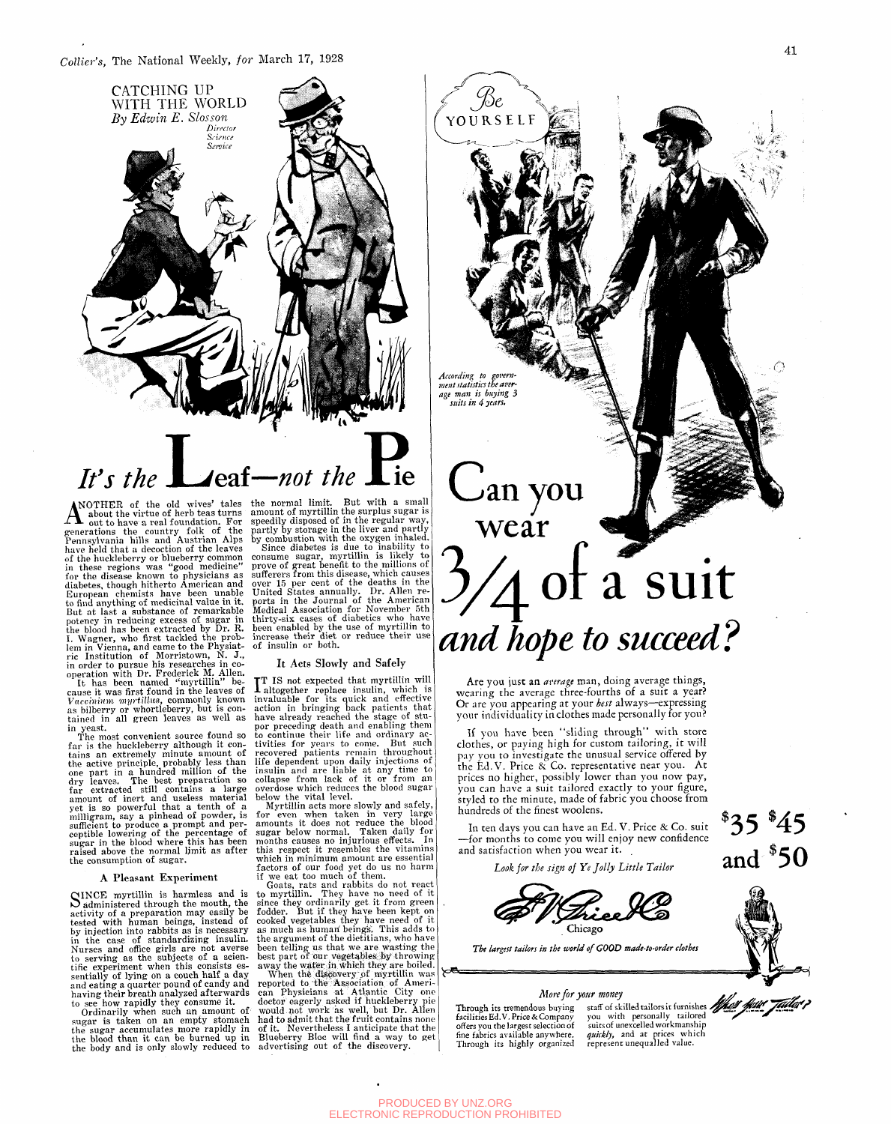

#### -not the *It's the*  ⊿eaf–

ANOTHER of the old wives' tales<br>
generations the virtue of herb teas turns<br>
generations the country folk of the<br>
Pennsylvania hills and Austrian Alps have held that a decoction of the leaves<br>of the huckleberry or blueberry common<br>in these regions was "good medicine"<br>for the disease known to physicians as<br>diabetes, though hitherto American and<br>European chemists have been

The most convenient source found so<br>far is the huckleberry although it con-<br>tains an extremely minute amount of<br>the active principle, probably less than<br>one part in a hundred million of the<br>dry leaves. The best preparation

#### A Pleasant Experiment

SINCE myrtillin is harmless and is<br>
Sadministered through the mouth, the administered through the mouth, the activity of a preparation may easily be tested with human beings, instead of by injection into rabbits as is necessary in the case of standardizing insulin. Nurses and office girls are not averse to serving as the subjects of a scientific experiment when this consists essentially of lying on a couch half a day and eating a quarter pound of candy and having their breath analyzed afterwards to see how rapidly they consume it.

Ordinarily when such an amount of sugar is taken on an empty stomach the sugar accumulates more rapidly in the blood than it can be burned up in the body and is only slowly reduced to advertising out of the discovery.

the normal limit. But with a small<br>amount of myrtillin the surplus sugar is<br>greedly disposed of in the regular way,<br>partly by storage in the liver and partly<br>by combustion with the oxygen inhaled.<br>Since diabetes is due to

#### It Acts Slowly and Safely

**TT** IS not expected that myrtillin will altogether replace insulin, which is invaluable for its quick and effective action in bringing back patients that have already reached the stage of stuper preceding death and enabli

Myrtillin acts more slowly and safely,<br>for even when taken in very large<br>amounts it does not reduce the blood<br>sugar below normal. Taken daily for<br>months causes no injurious effects. In<br>this respect it resembles the vitamin which in minimum amount are essential factors of our food yet do us no harm if we eat too much of them.

Goats, rats and rabbits do not react<br>to myrtillin. They have no need of it<br>since they ordinarily get it from green<br>fodder. But if they have been kept on<br>cooked vegetables they have need of it<br>as much as human beings. This

When the discovery of myrtillin was<br>reported to the Association of American<br>can Physicians at Atlantic City one<br>doctor eagerly asked if huckleberry pie<br>would not work as well, but Dr. Allen<br>had to admit that the fruit cont

# an you wear of a<sup>v</sup> suit *and hope to succeed?*

*According to government statistics the average man is buying 3 suits in 4 years.* 

Be YOURSELF

Are you just an *average* man, doing average things, wearing the average three-fourths of a suit a year? Or are you appearing at your *best* always—expressing your individuality in clothes made personally for you?

If you have been "sliding through" with store clothes, or paying high for custom tailoring, it will pay you to investigate the unusual service offered by the Ed.V. Price & Co. representative near you. At prices no higher, possibly lower than you now pay, you can have a suit tailored exactly to your figure, styled to the minute, made of fabric you choose from hundreds of the finest woolens.

In ten days you can have an Ed. V. Price & Co. suit —for months to come you will enjoy new confidence and satisfaction when you wear it.

*Look for the sign of Ye Jolly Little Tailor* 



*The largest tailors in the world of GOOD made-to-order clothes* 

#### *More for your money*

Through its tremendous buying staff of skilled tailors it furnishes<br>facilities Ed.V. Price & Company you with personally tailored facilities Ed.V. Price & Company offers you the largest selection of fine fabrics available anywhere. quickly, and at prices whi<br>Through its highly organized represent unequalled value.

suits of unexcelled workmanship *quickly,* and at prices which

**\*35 \*45**  and  $$50$ 





 $\bigcirc$ 

PRODUCED BY UNZ.ORG ELECTRONIC REPRODUCTION PROHIBITED

**\ = ^**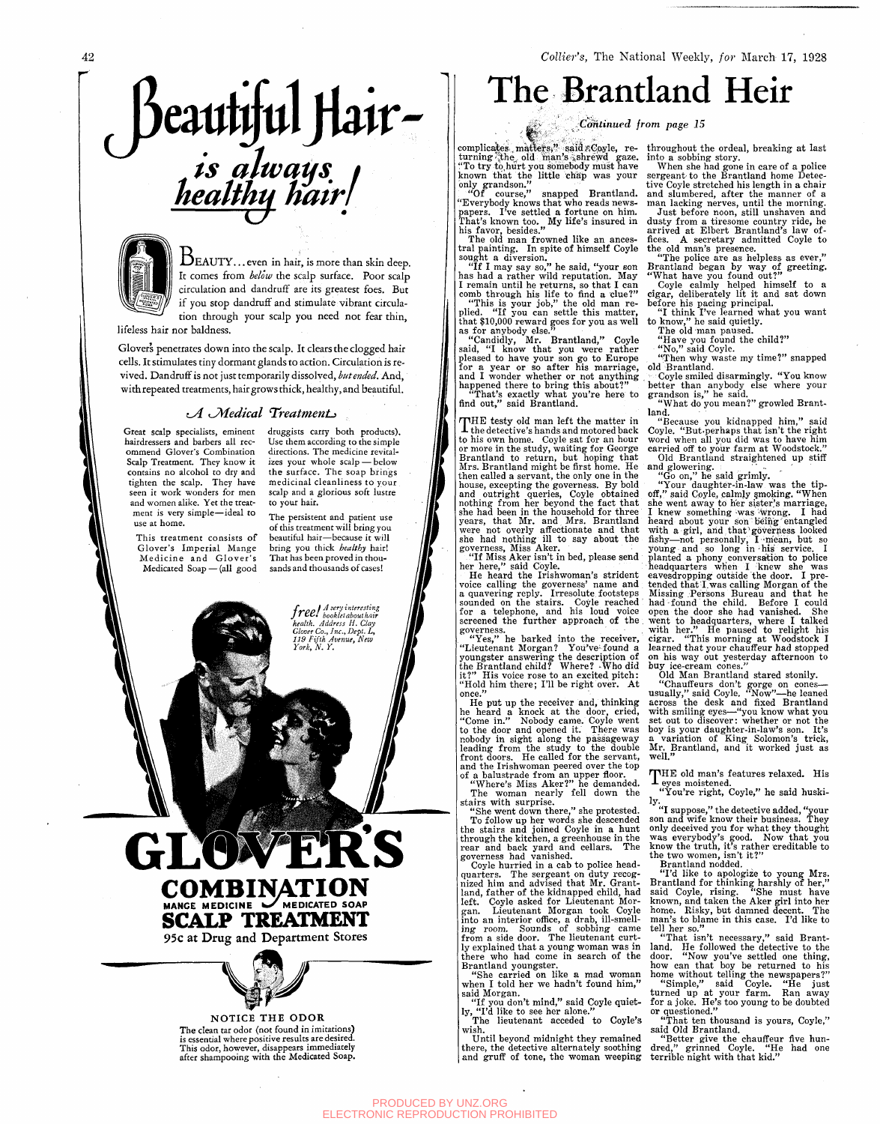## eautitul Hair*ts alwatfs^ I heaUhu hair J*



 $\rm{B}_{\rm{EAUTY...}$  even in hair, is more than skin deep. It comes from *below* the scalp surface. Poor scalp circulation and dandruff are its greatest foes. But if you stop dandruff and stimulate vibrant circulation through your scalp you need not fear thin,

lifeless hair nor baldness.

Glover's penetrates down into the scalp. It clears the clogged hair cells. It stimulates tiny dormant glands to action. Circulation is revived. Dandruff is not just temporarily dissolved, *hut ended.* And, with repeated treatments, hair grows thick, healthy, and beautiful.

#### *tyi KSMedical TreatmenLi*

Great scalp specialists, eminent hairdressers and barbers all recommend Glover's Combination Scalp Treatment. They know it contains no alcohol to dry and tighten the scalp. They have seen it work wonders for men and women alike. Yet the treatment is very simple—ideal to use at home.

This treatment consists of Glover's Imperial Mange Medicine and Glover's Medicated Soap — (all good druggists carry both products). Use them according to the simple directions. The medicine revitalizes your whole scalp — below the surface. The soap brings medicinal cleanliness to your scalp and a glorious soft lustre to your hair.

The persistent and patient use of this treatment will bring you beautiful hair—because it will bring you thick *healthy* hair! That has been proved in thousands and thousands of cases!

> free! hooklet about hair *7 tyC, bookletabouihair health. Address H. Clay Glover Co., Inc., Dept.* Z,, *119 Fifth Avenue, New York, N. Y.*

**COMBINATION MANGE MEDICINE w/MEDICATED SOAP SCALP TREATMENT** 

**95c at Drug and Department Stores** 



**NOTICE THE ODOR**  The clean tar odor (not found in imitations) is essential where positive results are desired. This odor, however, disappears immediately after shampooing with the Medicated Soap.

### The Brantland Heir

#### *Continued from page 15*

 $\textup{complex}$ es matters," said $\textup{zCoyle,}$  returning the old man's shrewd gaze. "To try to hurt you somebody must have known that the little chap was your only grandson."

₩.

"Of course," snapped Brantland. "Everybody knows that who reads newspapers. I've settled a fortune on him. That's known too. My life's insured in his favor, besides."

The old man frowned like an ancestral painting. In spite of himself Coyle sought a diversion.

"If I may say so," he said, "your son has had a rather wild reputation. May I remain until he returns, so that I can comb through his life to find a clue?"

"This is your job," the old man replied. "If you can settle this matter, that \$10,000 reward goes for you as well as for anybody else."

"Candidly, Mr. Brantland," Coyle said, "I know that you were rather pleased to have your son go to Europe for a year or so after his marriage, and I wonder whether or not anything happened there to bring this about?"

"That's exactly what you're here to find out," said Brantland.

THE testy old man left the matter in<br>the detective's hands and motored back HE testy old man left the matter in to his own home. Coyle sat for an hour or more in the study, waiting for George Brantland to return, but hoping that Mrs. Brantland might be first home. He then called a servant, the only one in the house, excepting the governess. By bold and outright queries, Coyle obtained nothing from her beyond the fact that she had been in the household for three years, that Mr. and Mrs. Brantland were not overly affectionate and that she had nothing ill to say about the governess, Miss Aker.

"If Miss Aker isn't in bed, please send her here," said Coyle.

He heard the Irishwoman's strident voice calling the governess' name and a quavering reply. Irresolute footsteps sounded on the stairs. Coyle reached for a telephone, and his loud voice screened the further approach of the . governess.

"Yes," he barked into the receiver, "Lieutenant Morgan? You've-found a youngster answering the description of the Brantland child? Where? -Who did it?" His voice rose to an excited pitch: "Hold him there; I'll be right over. At once."

He put up the receiver and, thinking he heard a knock at the door, cried, "Come in." Nobody came. Coyle went to the door and opened it. There was nobody in sight along the passageway leading from the study to the double front doors. He called for the servant, and the Irishwoman peered over the top of a balustrade from an upper floor.

"Where's Miss Aker?" he demanded. The woman nearly fell down the stairs with surprise.<br>"She went down there," she protested.

"She went down there," she protested. To follow up her words she descended<br>costains and joined Coule in a hunt the stairs and joined Coyle in a hunt through the kitchen, a greenhouse in the rear and back yard and cellars. The

governess had vanished. Coyle nurried in a cab to police head-<br>category The sergeant on duty recepquarters. The sergeant on duty recognized him and advised that Mr. Grantland, father of the kidnapped child, had<br>left. Cerle esked for Lieutenent Merleft. Coyle asked for Lieutenant Morgan. Lieutenant Morgan took Coyle into an interior office, a drab, ill-smelling room. Sounds of sobbing came from a side door. The lieutenant curt-<br>-- suplained that a voung woman was in ly explained that a young woman was in there who had come in search of the<br>Departured compater Brantland youngster.

"She carried on like a mad woman when I told her we hadn't found him," said Morgan.

"If you don't mind," said Coyle quietly, "I'd like to see her alone."

The lieutenant acceded to Coyle's wish. Until beyond midnight they remained

there, the detective alternately soothing and gruff of tone, the woman weeping

throughout the ordeal, breaking at last into a sobbing story.

When she had gone in care of a police sergeant to the Brantland home Detective Coyle stretched his length in a chair and slumbered, after the manner of a man lacking nerves, until the morning.

Just before noon, still unshaven and dusty from a tiresome country ride, he arrived at Elbert Brantland's law offices. A secretary admitted Coyle to the old man's presence.

"The police are as helpless as ever," Brantland began by way of greeting. "What have you found out?"

Coyle calmly helped himself to a cigar, deliberately lit it and sat down before his pacing principal.

"I think I've learned what you want to know," he said quietly.

The old man paused.

"Have you found the child?"<br>"No " said Carle No, Said Coyle.<br>"Than why waste

Then why waste my time: Snapped<br>TReastland old Brantland.<br>Covia emiled

Coyle smiled disarmingly. Tou know better than anybody else where your grandson is, he said.<br>"Whot do you mean?"

What do you mean: growled Brantland.

Because you kidnapped him, said<br>wla "But.perhans that isn't the right Coyle. "But perhaps that isn't the right"<br>word when all you did was to have him word when all you did was to have him<br>earried off to your farm at Woodstock" carried off to your farm at Woodstock.<br>"Old Brantland straightened un stiff" Old Brantland straightened up stiff

and glowering.<br>" $C_0$  on " he eaid grimly

"Your daughter-in-law v  $\mathbb{Z}^n$  said Covle, calmly smoking, "When" on, said Coyle, calming ghoming. "When she went away to her sister's marriage, I knew something was wrong. I had heard about your some entangled with a girl, and that governess roomed not personally, I mean, but so young and so long in my service. prairied a phony conversation to police headquarters when I knew she was eavesdropping outside the door. I five tended that I. was calling morgan of the had found the child. Before I could had found the child. Before I could open the door she had vanished. She with her." He paused to relight his with her." He paused to relight his right. This morning at Woodstock I. learned that your chauffeur had stopped<br>on his way out vesterday afternoon to on his way out yesterday afternoon to

Old Man Brantland

"Chauffeurs don't gorge on conesually," said Coyle. "Now"-he leaned across the desk and fixed Brantland with smiling eyes—"you know what you set out to discover: whether or not the boy is your daughter-in-law's son. It's a variation of King Solomon's trick, Mr. Brantland, and it worked just as well," $\blacksquare$ 

THE old man's features relaxed. His eyes moistened.

"You're right, Coyle," he said huskily-

"I suppose," the detective added, "your son and wife know their business. They only deceived you for what they thought was everybody's good. Now that you know the truth, it's rather creditable to the two women, isn't it?"

Brantland nodded.<br>GTALL "I'd like to apologize to young Mrs. Brantland for thinking harshly of her," said Coyle, rising. "She must have known, and taken the Aker girl into her home. Risky, but damned decent. The man's to blame in this case. I'd like to tell her so."<br>"That isn't necessary," said Brant-

"That isn't necessary," said Brantland. He followed the detective to the door. "Now you've settled one thing, how can that boy be returned to his home without telling the newspapers?" "Simple," said Coyle. "He just turned up at your farm. Ran away for a joke. He's too young to be doubted or questioned."

"That ten thousand is yours, Coyle," said Old Brantland.

"Better give the chauffeur five hundred," grinned Coyle. "He had one terrible night with that kid."